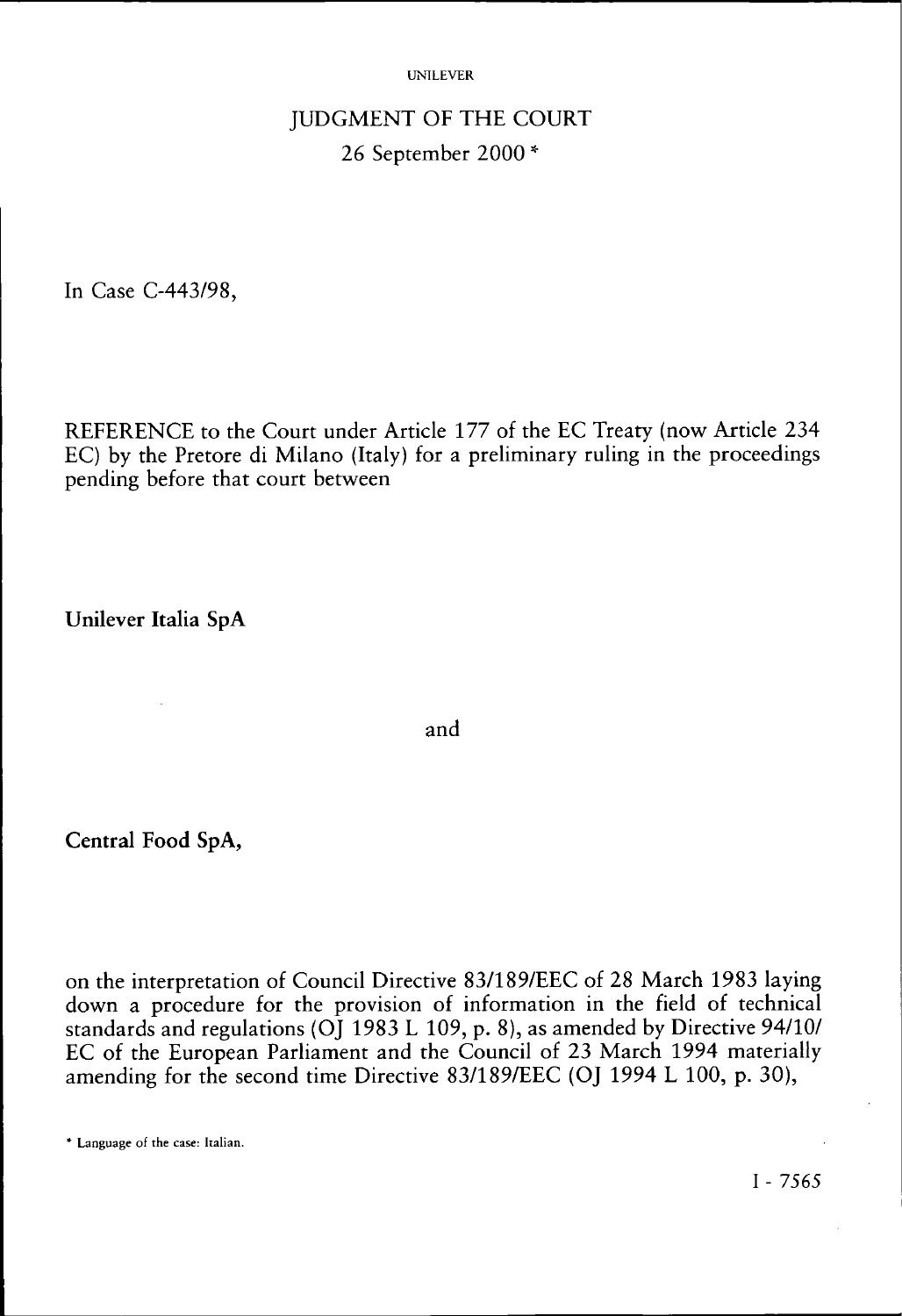#### UNILEVER

# JUDGMENT OF THE COURT 26 September 2000 \*

In Case C-443/98,

REFERENCE to the Court under Article 177 of the EC Treaty (now Article 234 EC) by the Pretore di Milano (Italy) for a preliminary ruling in the proceedings pending before that court between

**Unilever Italia SpA** 

and

**Central Food SpA,** 

on the interpretation of Council Directive 83/189/EEC of 28 March 1983 laying down a procedure for the provision of information in the field of technical standards and regulations (OJ 1983 L 109, p. 8), as amended by Directive 94/10/ EC of the European Parliament and the Council of 23 March 1994 materially amending for the second time Directive 83/189/EEC (OJ 1994 L 100, p. 30),

<sup>\*</sup> Language of the case: Italian.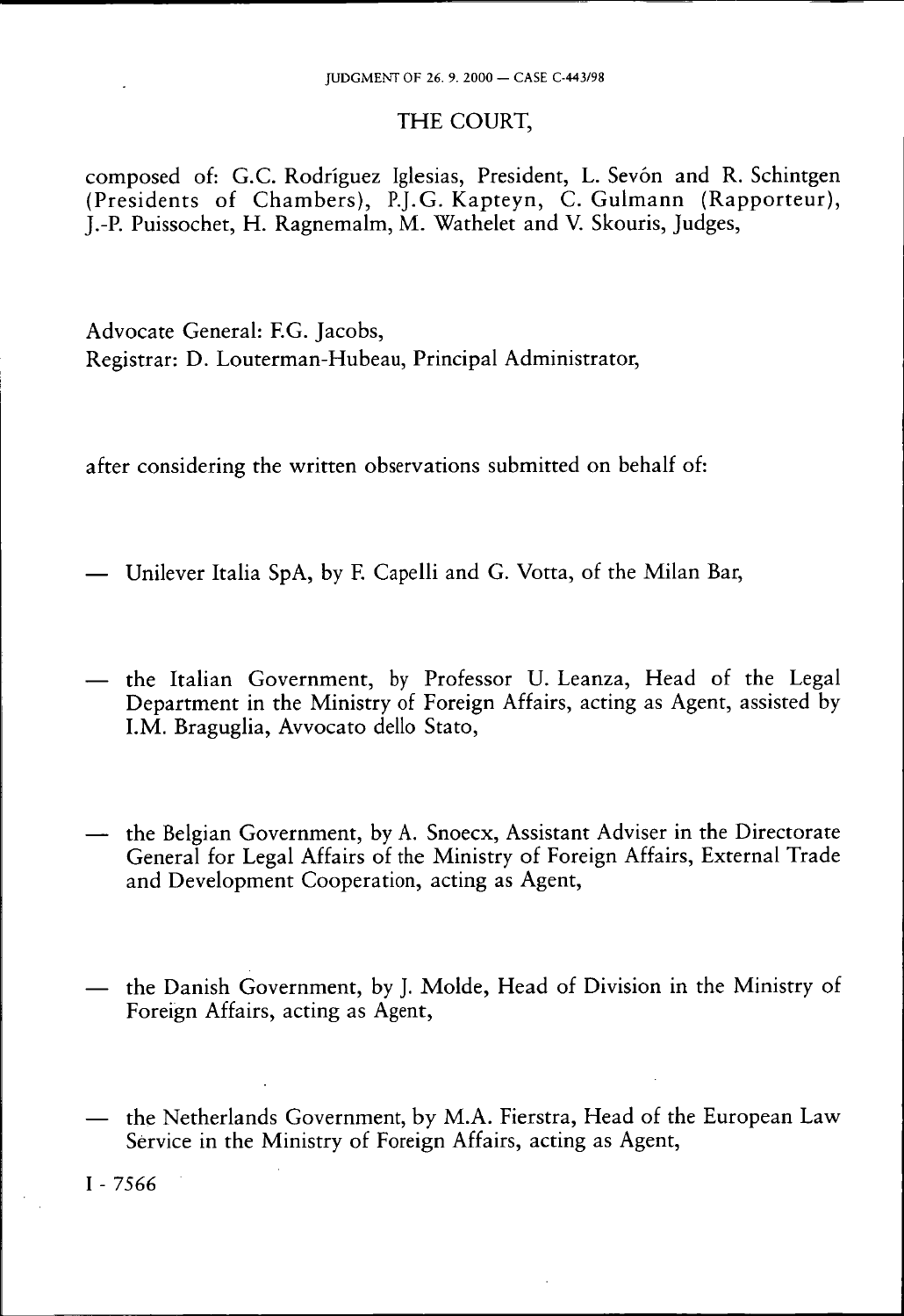### THE COURT,

composed of: G.C. Rodriguez Iglesias, President, L. Sevón and R. Schintgen (Presidents of Chambers), P.J.G. Kapteyn, C. Gulmann (Rapporteur), J.-P. Puissochet, H. Ragnemalm, M. Wathelet and V. Skouris, Judges,

Advocate General: EG. Jacobs, Registrar: D. Louterman-Hubeau, Principal Administrator,

after considering the written observations submitted on behalf of:

- Unilever Italia SpA, by F. Capelli and G. Votta, of the Milan Bar,
- the Italian Government, by Professor U. Leanza, Head of the Legal Department in the Ministry of Foreign Affairs, acting as Agent, assisted by I.M. Braguglia, Avvocato dello Stato,
- the Belgian Government, by A. Snoecx, Assistant Adviser in the Directorate General for Legal Affairs of the Ministry of Foreign Affairs, External Trade and Development Cooperation, acting as Agent,
- the Danish Government, by J. Molde, Head of Division in the Ministry of Foreign Affairs, acting as Agent,
- the Netherlands Government, by M.A. Fierstra, Head of the European Law Service in the Ministry of Foreign Affairs, acting as Agent,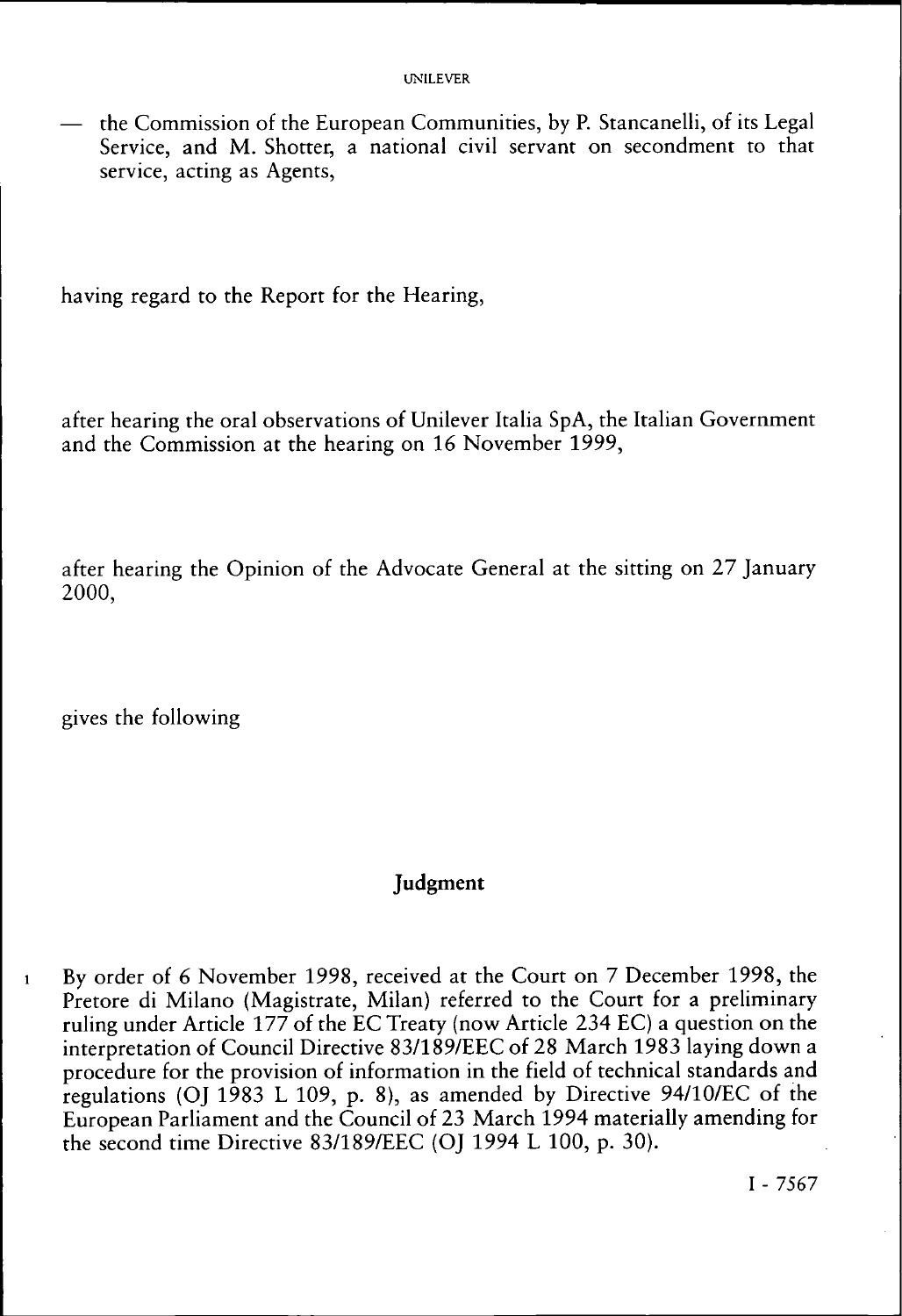— the Commission of the European Communities, by P. Stancanelli, of its Legal Service, and M. Shotter, a national civil servant on secondment to that service, acting as Agents,

having regard to the Report for the Hearing,

after hearing the oral observations of Unilever Italia SpA, the Italian Government and the Commission at the hearing on 16 November 1999,

after hearing the Opinion of the Advocate General at the sitting on 27 January 2000,

gives the following

### **Judgment**

1 By order of *6* November 1998, received at the Court on 7 December 1998, the Pretore di Milano (Magistrate, Milan) referred to the Court for a preliminary ruling under Article 177 of the EC Treaty (now Article 234 EC) a question on the interpretation of Council Directive 83/189/EEC of 28 March 1983 laying down a procedure for the provision of information in the field of technical standards and regulations (OJ 1983 L 109, p. 8), as amended by Directive 94/10/EC of the European Parliament and the Council of 23 March 1994 materially amending for the second time Directive 83/189/EEC (OJ 1994 L 100, p. 30).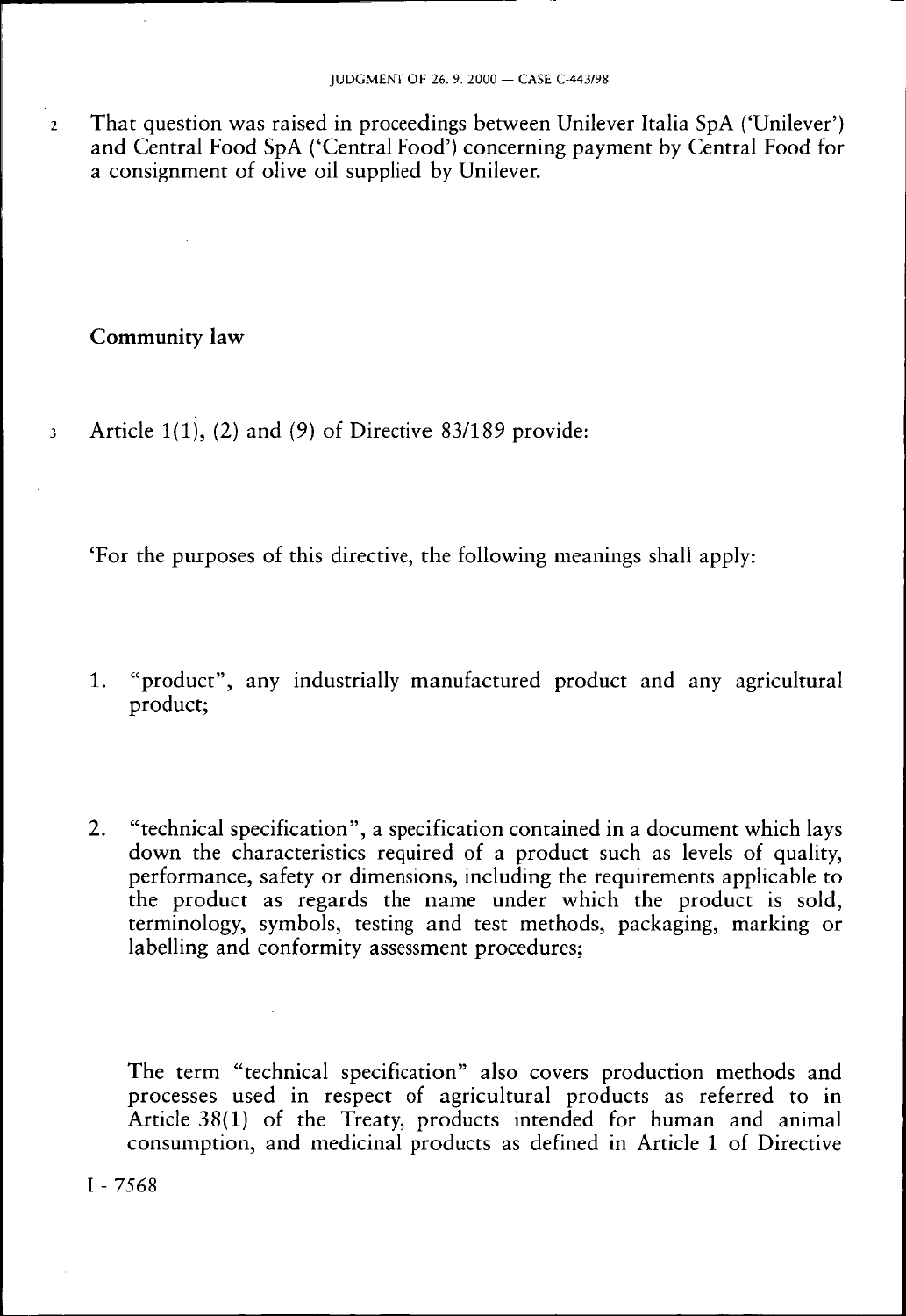2 That question was raised in proceedings between Unilever Italia SpA ('Unilever') and Central Food SpA ('Central Food') concerning payment by Central Food for a consignment of olive oil supplied by Unilever.

### Community **law**

3 Article  $1(1)$ , (2) and (9) of Directive 83/189 provide:

'For the purposes of this directive, the following meanings shall apply:

- 1. "product", any industrially manufactured product and any agricultural product;
- 2. "technical specification", a specification contained in a document which lays down the characteristics required of a product such as levels of quality, performance, safety or dimensions, including the requirements applicable to the product as regards the name under which the product is sold, terminology, symbols, testing and test methods, packaging, marking or labelling and conformity assessment procedures;

The term "technical specification" also covers production methods and processes used in respect of agricultural products as referred to in Article 38(1) of the Treaty, products intended for human and animal consumption, and medicinal products as defined in Article 1 of Directive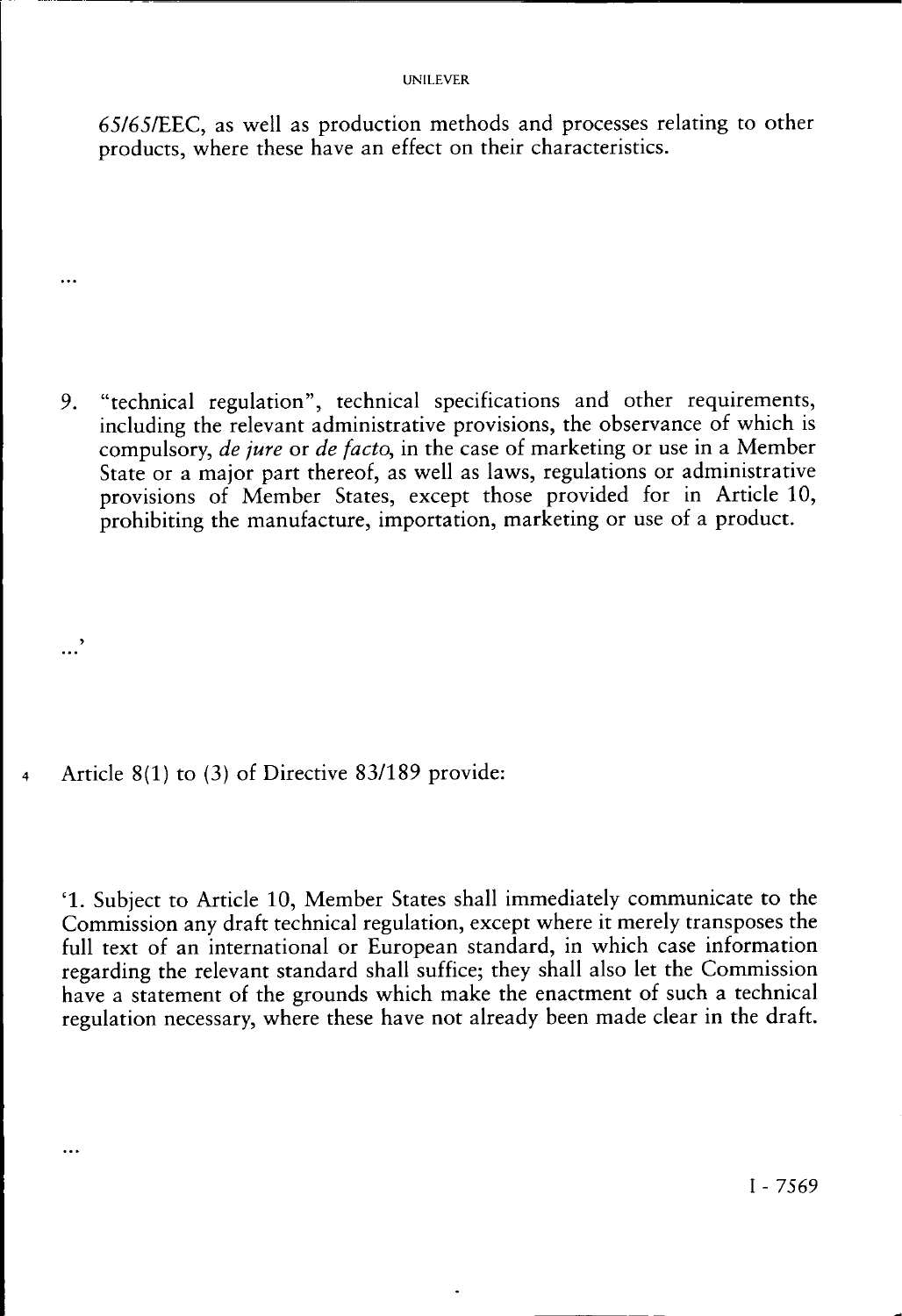#### UNILEVER

65/65/EEC, as well as production methods and processes relating to other products, where these have an effect on their characteristics.

9. "technical regulation", technical specifications and other requirements, including the relevant administrative provisions, the observance of which is compulsory, *de jure* or *de facto,* in the case of marketing or use in a Member State or a major part thereof, as well as laws, regulations or administrative provisions of Member States, except those provided for in Article 10, prohibiting the manufacture, importation, marketing or use of a product.

4 Article 8(1) to (3) of Directive 83/189 provide:

...'

 $\ddotsc$ 

 $\cdots$ 

' 1 . Subject to Article 10, Member States shall immediately communicate to the Commission any draft technical regulation, except where it merely transposes the full text of an international or European standard, in which case information regarding the relevant standard shall suffice; they shall also let the Commission have a statement of the grounds which make the enactment of such a technical regulation necessary, where these have not already been made clear in the draft.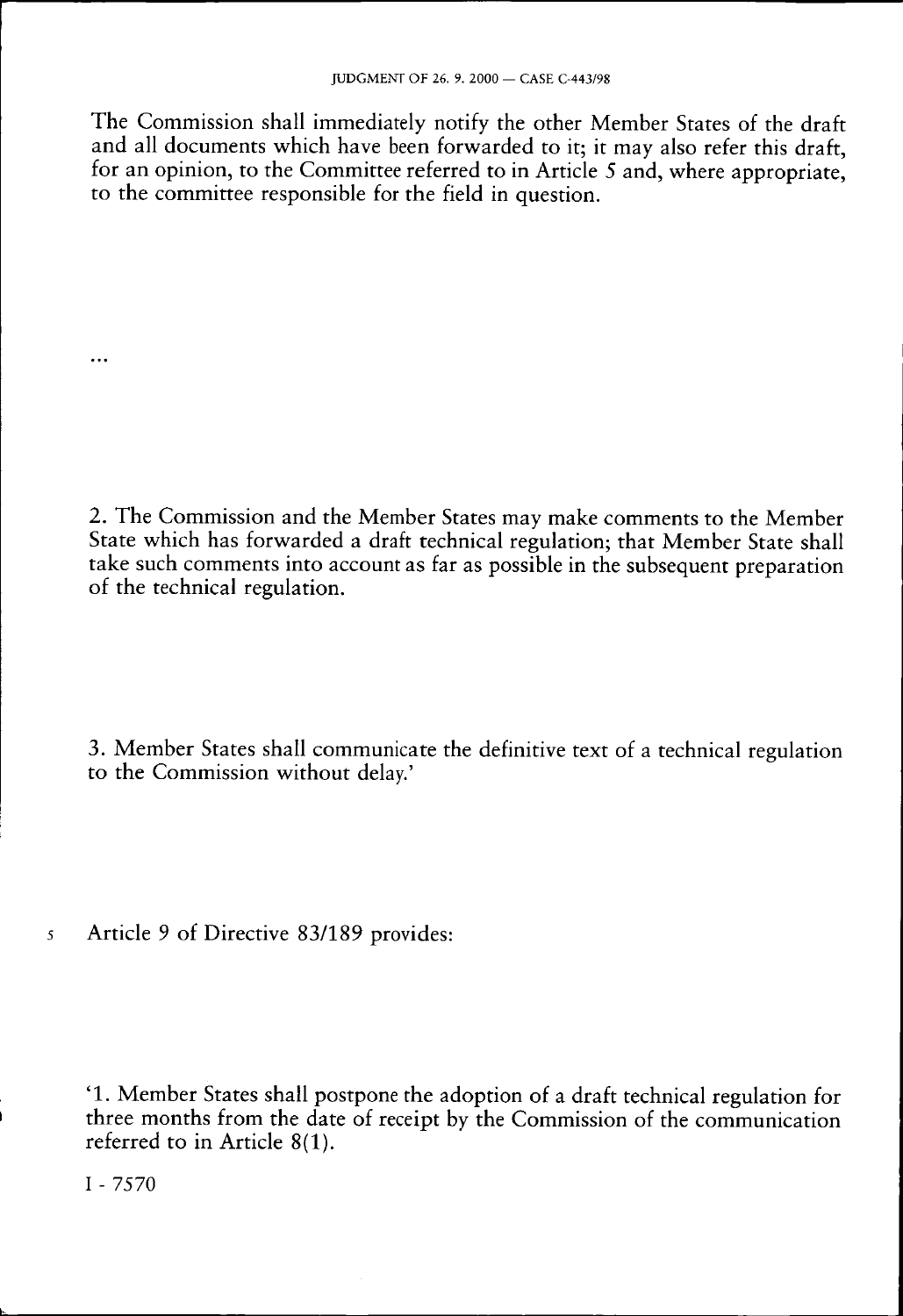The Commission shall immediately notify the other Member States of the draft and all documents which have been forwarded to it; it may also refer this draft, for an opinion, to the Committee referred to in Article 5 and, where appropriate. to the committee responsible for the field in question.

2. The Commission and the Member States may make comments to the Member State which has forwarded a draft technical regulation; that Member State shall take such comments into account as far as possible in the subsequent preparation of the technical regulation.

3. Member States shall communicate the definitive text of a technical regulation to the Commission without delay.'

5 Article 9 of Directive 83/189 provides:

' 1 . Member States shall postpone the adoption of a draft technical regulation for three months from the date of receipt by the Commission of the communication referred to in Article 8(1).

I - 7570

. . .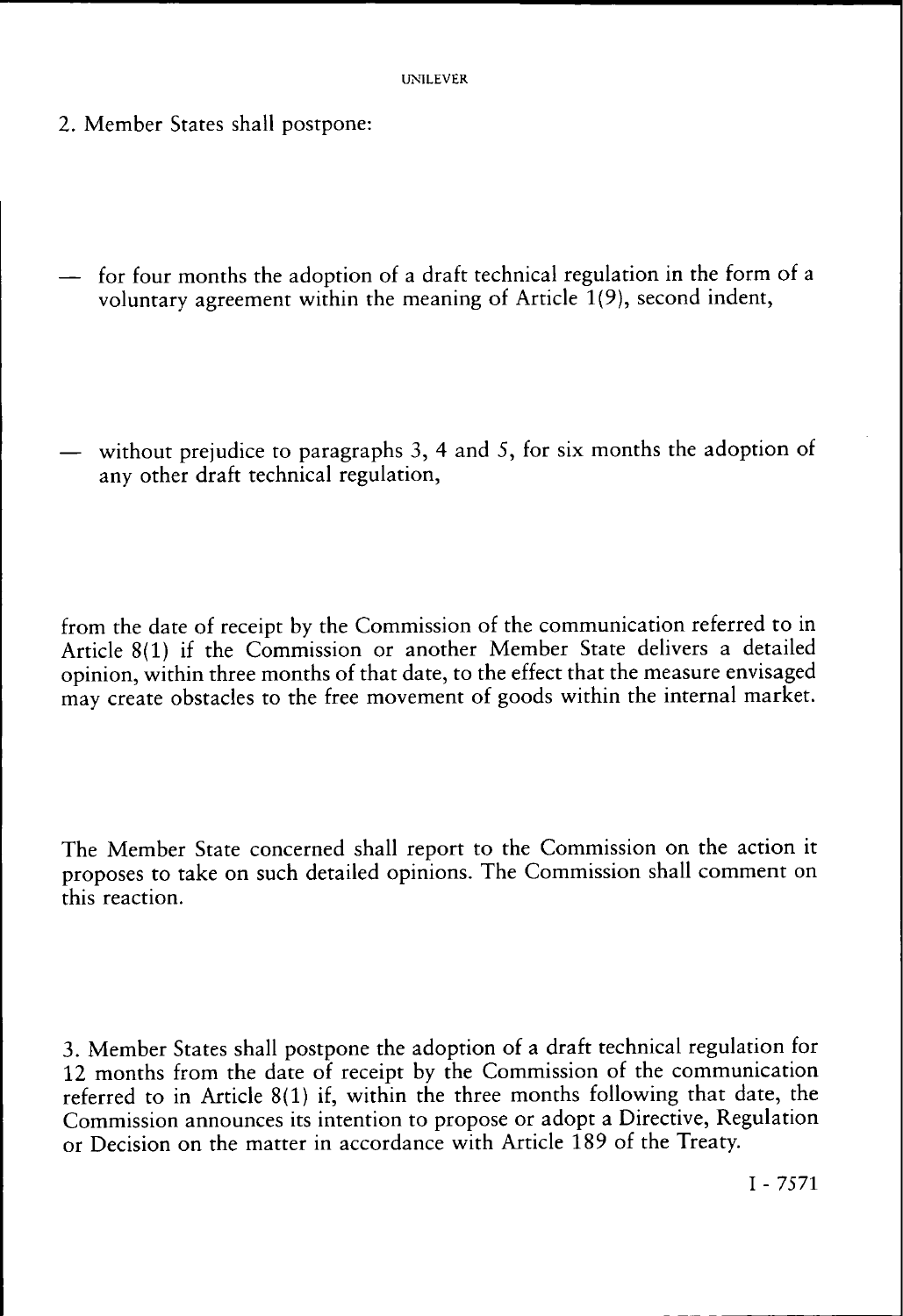- 2. Member States shall postpone:
- for four months the adoption of a draft technical regulation in the form of a voluntary agreement within the meaning of Article 1(9), second indent,
- without prejudice to paragraphs 3, 4 and 5, for six months the adoption of any other draft technical regulation,

from the date of receipt by the Commission of the communication referred to in Article 8(1) if the Commission or another Member State delivers a detailed opinion, within three months of that date, to the effect that the measure envisaged may create obstacles to the free movement of goods within the internal market.

The Member State concerned shall report to the Commission on the action it proposes to take on such detailed opinions. The Commission shall comment on this reaction.

3. Member States shall postpone the adoption of a draft technical regulation for 12 months from the date of receipt by the Commission of the communication referred to in Article 8(1) if, within the three months following that date, the Commission announces its intention to propose or adopt a Directive, Regulation or Decision on the matter in accordance with Article 189 of the Treaty.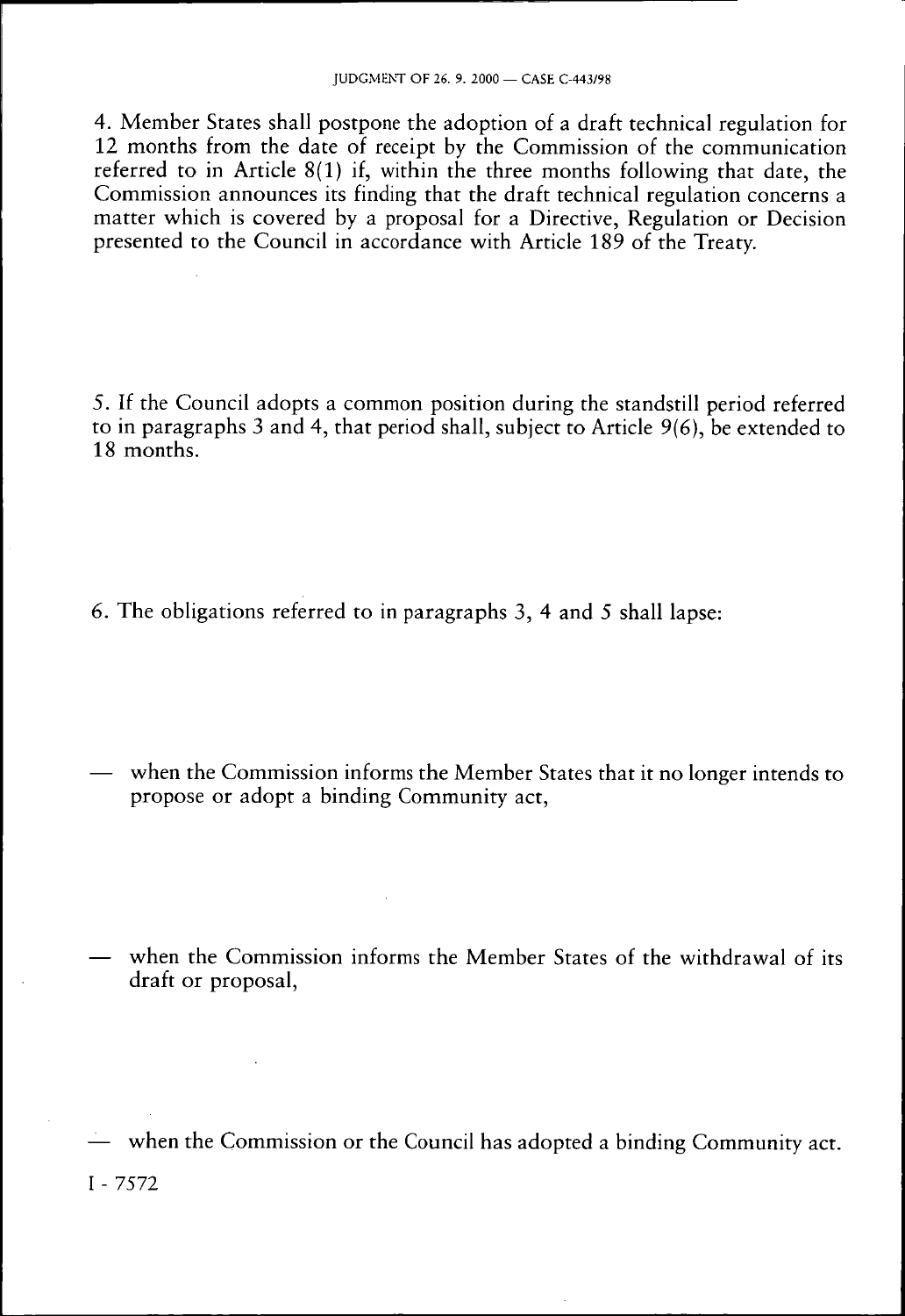4. Member States shall postpone the adoption of a draft technical regulation for 12 months from the date of receipt by the Commission of the communication referred to in Article 8(1) if, within the three months following that date, the Commission announces its finding that the draft technical regulation concerns a matter which is covered by a proposal for a Directive, Regulation or Decision presented to the Council in accordance with Article 189 of the Treaty.

5. If the Council adopts a common position during the standstill period referred to in paragraphs 3 and 4, that period shall, subject to Article 9(6), be extended to 18 months.

6. The obligations referred to in paragraphs 3, 4 and 5 shall lapse:

— when the Commission informs the Member States that it no longer intends to propose or adopt a binding Community act,

— when the Commission informs the Member States of the withdrawal of its draft or proposal,

— when the Commission or the Council has adopted a binding Community act. I - 7572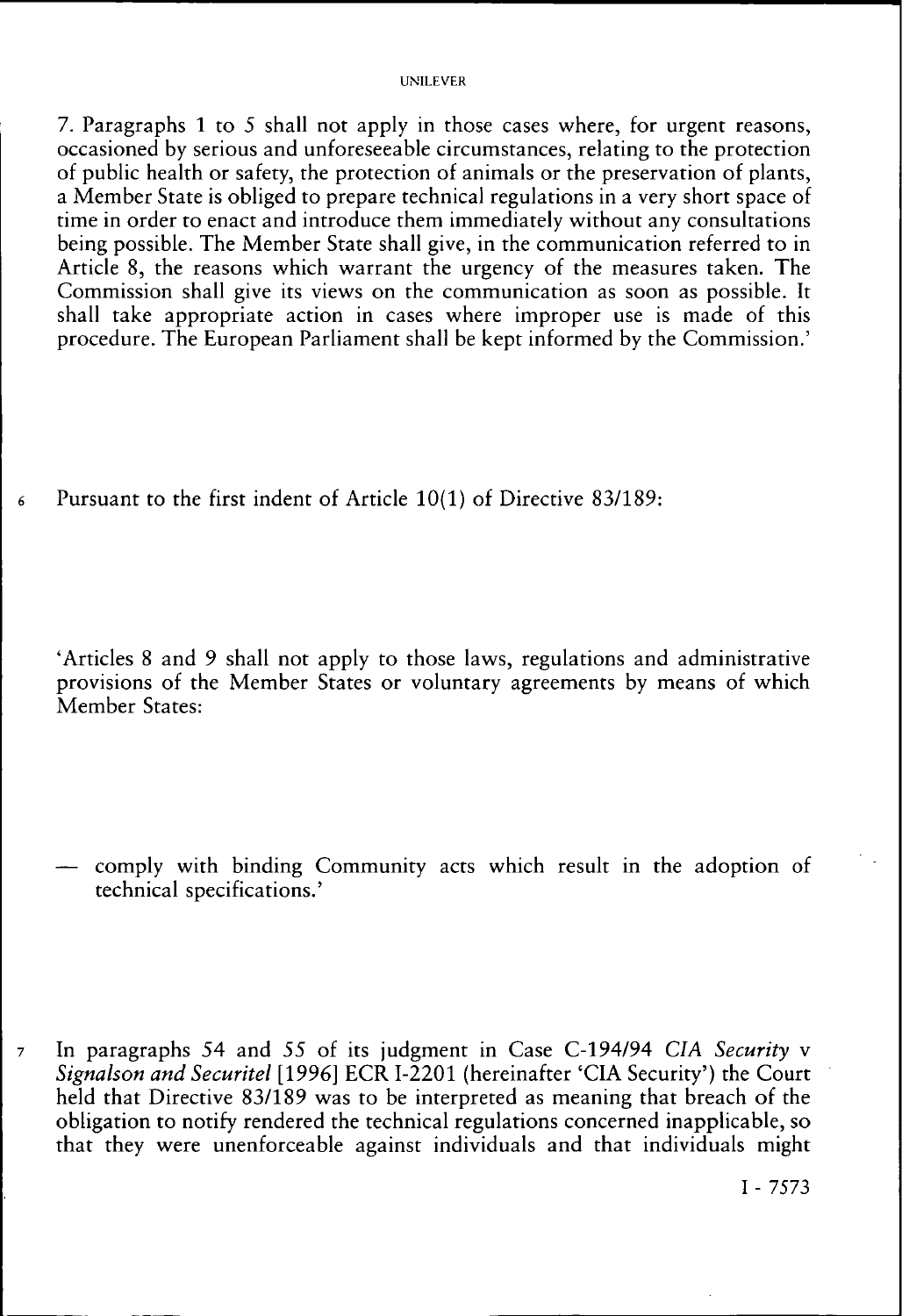#### UNILEVER

7. Paragraphs 1 to 5 shall not apply in those cases where, for urgent reasons, occasioned by serious and unforeseeable circumstances, relating to the protection of public health or safety, the protection of animals or the preservation of plants, a Member State is obliged to prepare technical regulations in a very short space of time in order to enact and introduce them immediately without any consultations being possible. The Member State shall give, in the communication referred to in Article 8, the reasons which warrant the urgency of the measures taken. The Commission shall give its views on the communication as soon as possible. It shall take appropriate action in cases where improper use is made of this procedure. The European Parliament shall be kept informed by the Commission.'

*6* Pursuant to the first indent of Article 10(1) of Directive 83/189:

'Articles 8 and 9 shall not apply to those laws, regulations and administrative provisions of the Member States or voluntary agreements by means of which Member States:

comply with binding Community acts which result in the adoption of technical specifications.'

7 In paragraphs 54 and 55 of its judgment in Case C-194/94 *CIA Security* v *Signalson and Securitel* [1996] ECR I-2201 (hereinafter 'CIA Security') the Court held that Directive 83/189 was to be interpreted as meaning that breach of the obligation to notify rendered the technical regulations concerned inapplicable, so that they were unenforceable against individuals and that individuals might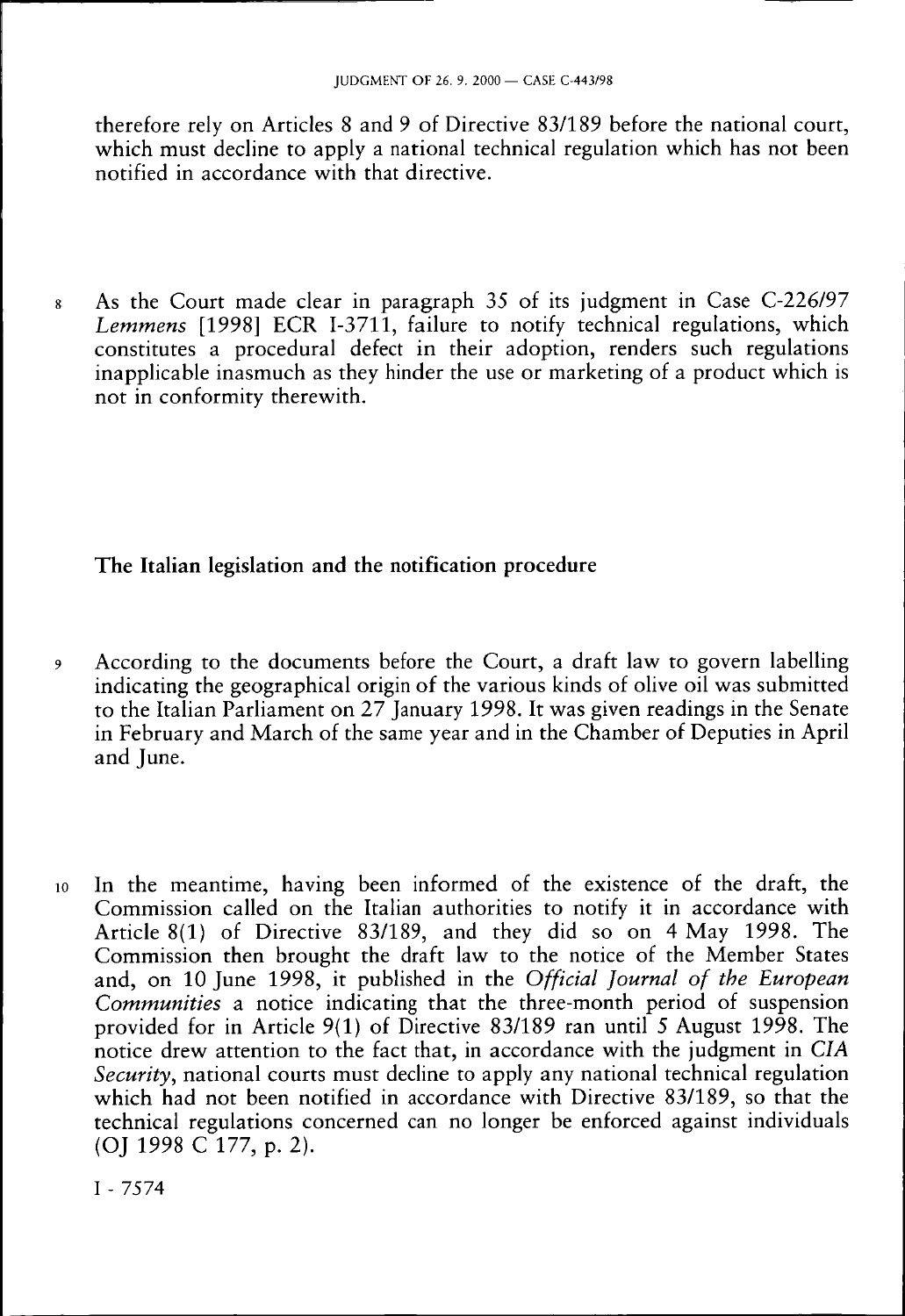therefore rely on Articles 8 and 9 of Directive 83/189 before the national court, which must decline to apply a national technical regulation which has not been notified in accordance with that directive.

8 As the Court made clear in paragraph 35 of its judgment in Case C-226/97 *Lemmens* [1998] ECR I-3711, failure to notify technical regulations, which constitutes a procedural defect in their adoption, renders such regulations inapplicable inasmuch as they hinder the use or marketing of a product which is not in conformity therewith.

# **The Italian legislation and the notification procedure**

- 9 According to the documents before the Court, a draft law to govern labelling indicating the geographical origin of the various kinds of olive oil was submitted to the Italian Parliament on 27 January 1998. It was given readings in the Senate in February and March of the same year and in the Chamber of Deputies in April and June.
- 10 In the meantime, having been informed of the existence of the draft, the Commission called on the Italian authorities to notify it in accordance with Article 8(1) of Directive 83/189, and they did so on 4 May 1998. The Commission then brought the draft law to the notice of the Member States and, on 10 June 1998, it published in the *Official Journal of the European Communities* a notice indicating that the three-month period of suspension provided for in Article 9(1) of Directive 83/189 ran until 5 August 1998. The notice drew attention to the fact that, in accordance with the judgment in *CIA Security,* national courts must decline to apply any national technical regulation which had not been notified in accordance with Directive 83/189, so that the technical regulations concerned can no longer be enforced against individuals (OJ 1998 C 177, p. 2).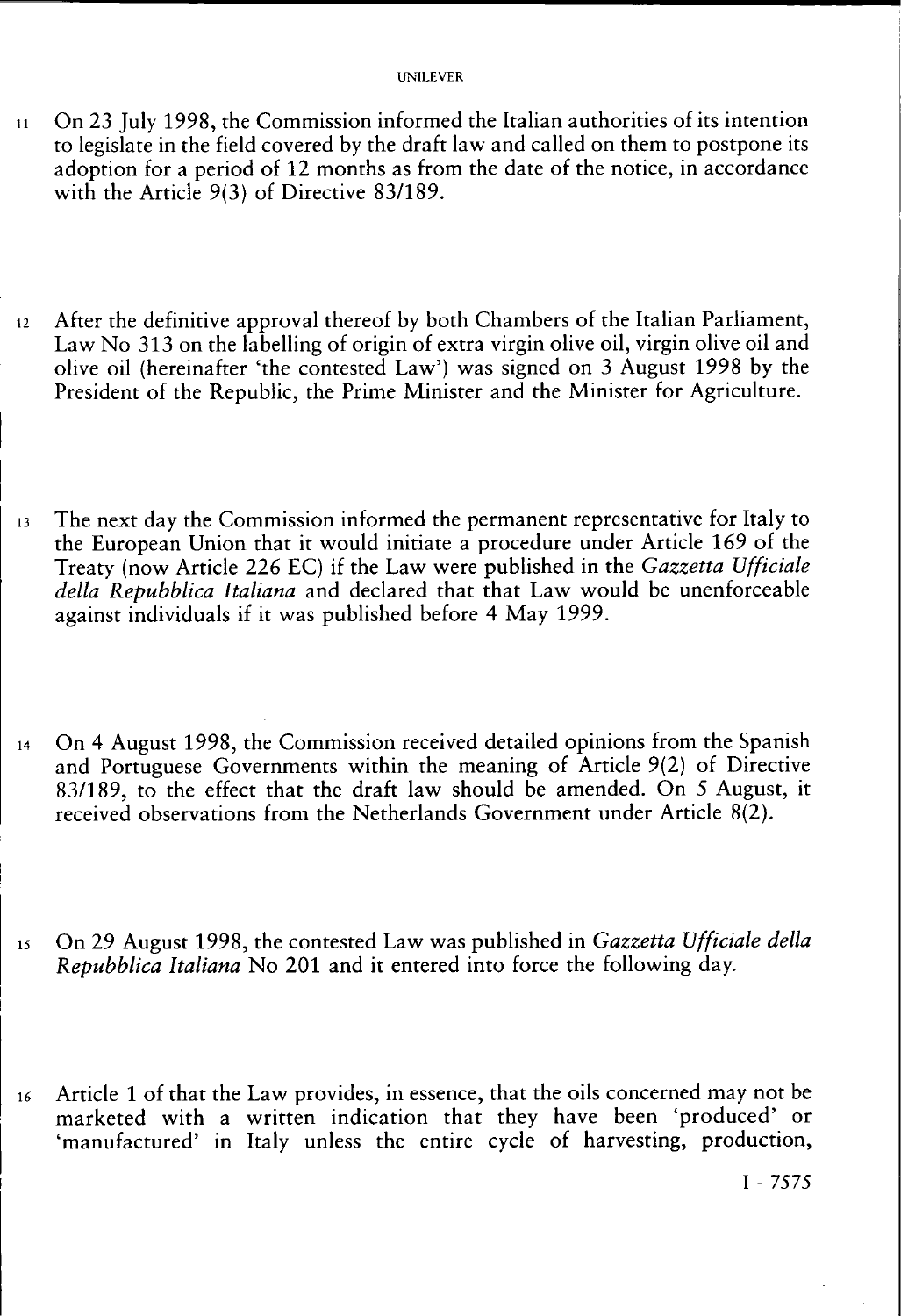- 11 On 23 July 1998, the Commission informed the Italian authorities of its intention to legislate in the field covered by the draft law and called on them to postpone its adoption for a period of 12 months as from the date of the notice, in accordance with the Article 9(3) of Directive 83/189.
- $12$  After the definitive approval thereof by both Chambers of the Italian Parliament, Law No 313 on the labelling of origin of extra virgin olive oil, virgin olive oil and olive oil (hereinafter 'the contested Law') was signed on 3 August 1998 by the President of the Republic, the Prime Minister and the Minister for Agriculture.
- 13 The next day the Commission informed the permanent representative for Italy to the European Union that it would initiate a procedure under Article 169 of the Treaty (now Article 226 EC) if the Law were published in the *Gazzetta Ufficiale della Repubblica Italiana* and declared that that Law would be unenforceable against individuals if it was published before 4 May 1999.
- 14 On 4 August 1998, the Commission received detailed opinions from the Spanish and Portuguese Governments within the meaning of Article 9(2) of Directive 83/189, to the effect that the draft law should be amended. On 5 August, it received observations from the Netherlands Government under Article 8(2).
- 15 On 29 August 1998, the contested Law was published in *Gazzetta Ufficiale della Repubblica Italiana* No 201 and it entered into force the following day.
- 16 Article 1 of that the Law provides, in essence, that the oils concerned may not be marketed with a written indication that they have been 'produced' or 'manufactured' in Italy unless the entire cycle of harvesting, production,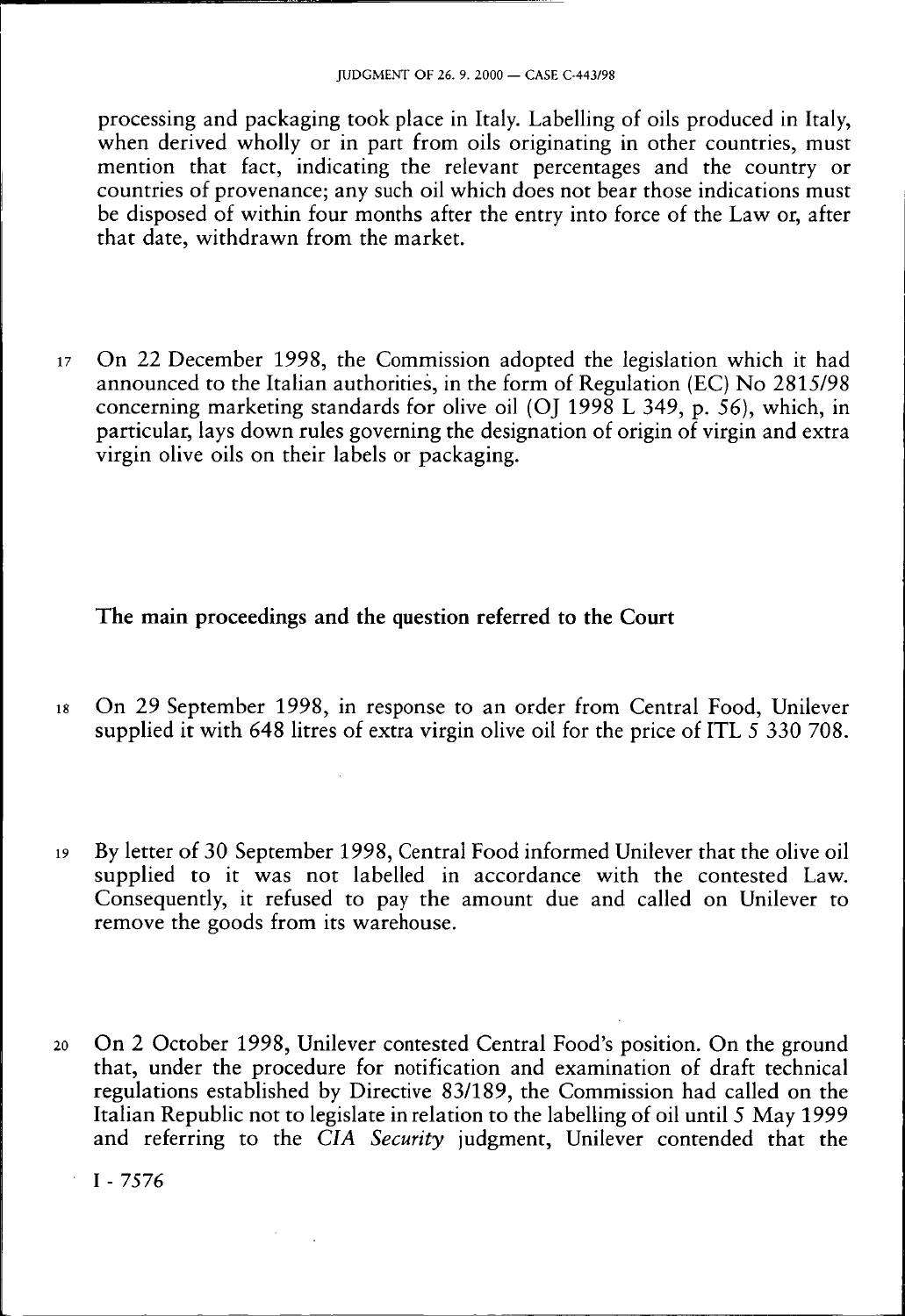processing and packaging took place in Italy. Labelling of oils produced in Italy, when derived wholly or in part from oils originating in other countries, must mention that fact, indicating the relevant percentages and the country or countries of provenance; any such oil which does not bear those indications must be disposed of within four months after the entry into force of the Law or, after that date, withdrawn from the market.

17 On 22 December 1998, the Commission adopted the legislation which it had announced to the Italian authorities, in the form of Regulation (EC) No 2815/98 concerning marketing standards for olive oil (OJ 1998 L 349, p. 56), which, in particular, lays down rules governing the designation of origin of virgin and extra virgin olive oils on their labels or packaging.

### **The main proceedings and the question referred to the Court**

- 18 On 29 September 1998, in response to an order from Central Food, Unilever supplied it with 648 litres of extra virgin olive oil for the price of ITL 5 330 708.
- 19 By letter of 30 September 1998, Central Food informed Unilever that the olive oil supplied to it was not labelled in accordance with the contested Law. Consequently, it refused to pay the amount due and called on Unilever to remove the goods from its warehouse.
- 20 On 2 October 1998, Unilever contested Central Food's position. On the ground that, under the procedure for notification and examination of draft technical regulations established by Directive 83/189, the Commission had called on the Italian Republic not to legislate in relation to the labelling of oil until 5 May 1999 and referring to the *CIA Security* judgment, Unilever contended that the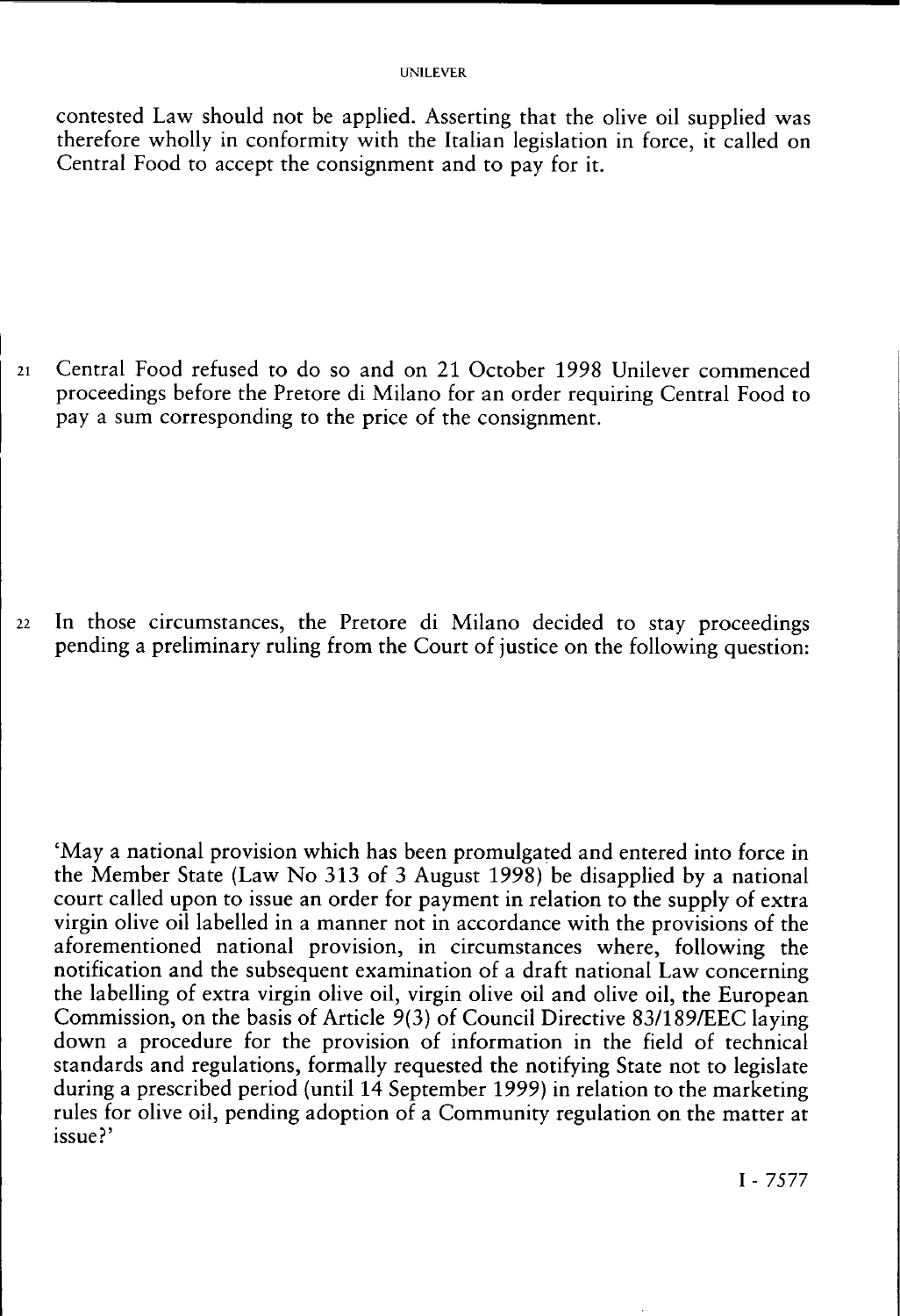contested Law should not be applied. Asserting that the olive oil supplied was therefore wholly in conformity with the Italian legislation in force, it called on Central Food to accept the consignment and to pay for it.

21 Central Food refused to do so and on 21 October 1998 Unilever commenced proceedings before the Pretore di Milano for an order requiring Central Food to pay a sum corresponding to the price of the consignment.

22 In those circumstances, the Pretore di Milano decided to stay proceedings pending a preliminary ruling from the Court of justice on the following question:

'May a national provision which has been promulgated and entered into force in the Member State (Law No 313 of 3 August 1998) be disapplied by a national court called upon to issue an order for payment in relation to the supply of extra virgin olive oil labelled in a manner not in accordance with the provisions of the aforementioned national provision, in circumstances where, following the notification and the subsequent examination of a draft national Law concerning the labelling of extra virgin olive oil, virgin olive oil and olive oil, the European Commission, on the basis of Article 9(3) of Council Directive 83/189/EEC laying down a procedure for the provision of information in the field of technical standards and regulations, formally requested the notifying State not to legislate during a prescribed period (until 14 September 1999) in relation to the marketing rules for olive oil, pending adoption of a Community regulation on the matter at issue?'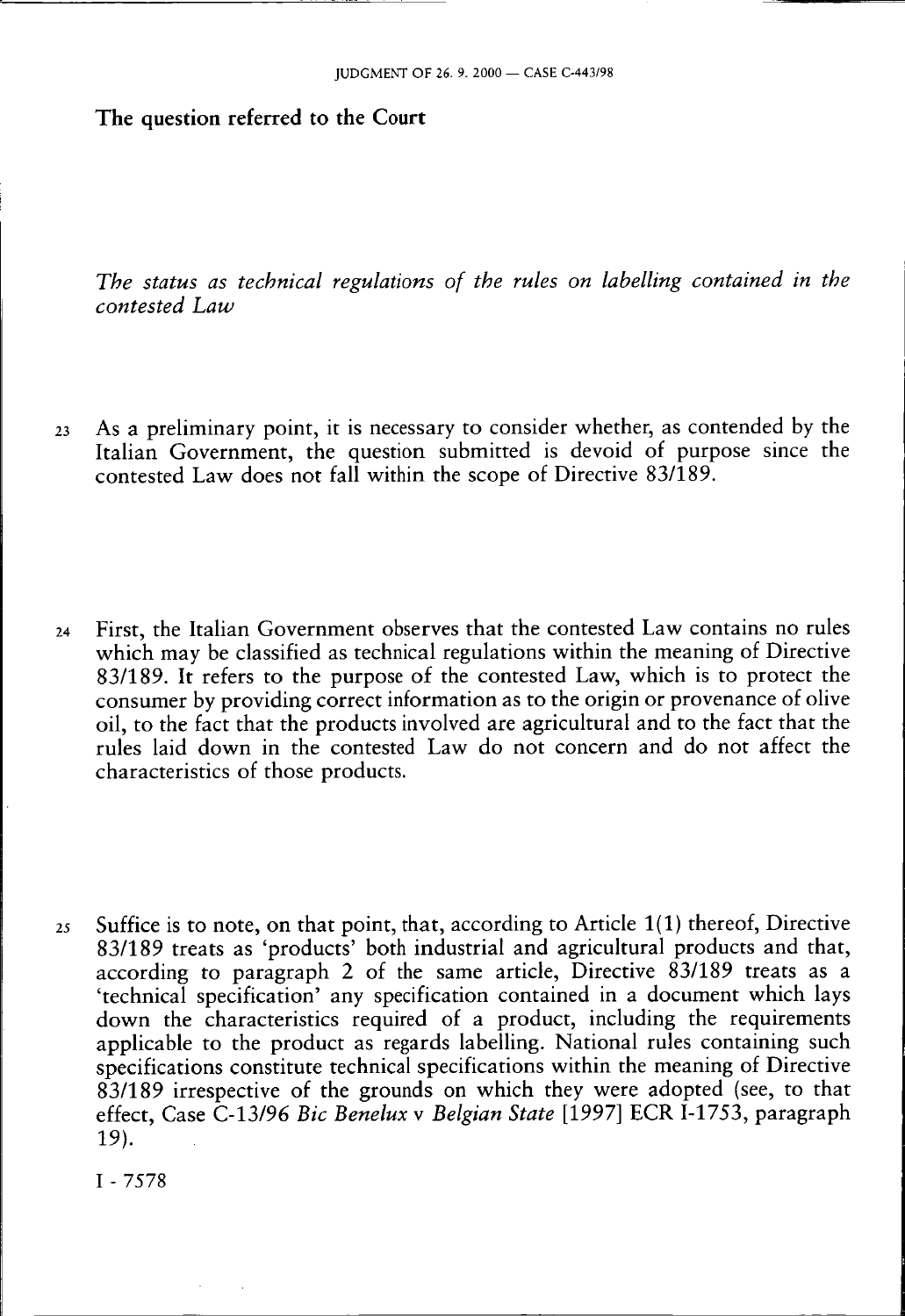### The question referred to the Court

*The status as technical regulations of the rules on labelling contained in the contested Law* 

- 23 As a preliminary point, it is necessary to consider whether, as contended by the Italian Government, the question submitted is devoid of purpose since the contested Law does not fall within the scope of Directive 83/189.
- 24 First, the Italian Government observes that the contested Law contains no rules which may be classified as technical regulations within the meaning of Directive 83/189. It refers to the purpose of the contested Law, which is to protect the consumer by providing correct information as to the origin or provenance of olive oil, to the fact that the products involved are agricultural and to the fact that the rules laid down in the contested Law do not concern and do not affect the characteristics of those products.
- 25 Suffice is to note, on that point, that, according to Article 1(1) thereof, Directive 83/189 treats as 'products' both industrial and agricultural products and that, according to paragraph 2 of the same article, Directive 83/189 treats as a 'technical specification' any specification contained in a document which lays down the characteristics required of a product, including the requirements applicable to the product as regards labelling. National rules containing such specifications constitute technical specifications within the meaning of Directive  $83/189$  irrespective of the grounds on which they were adopted (see, to that effect, Case C-13/96 *Bic Benelux* v *Belgian State* [1997] ECR I-1753, paragraph 19).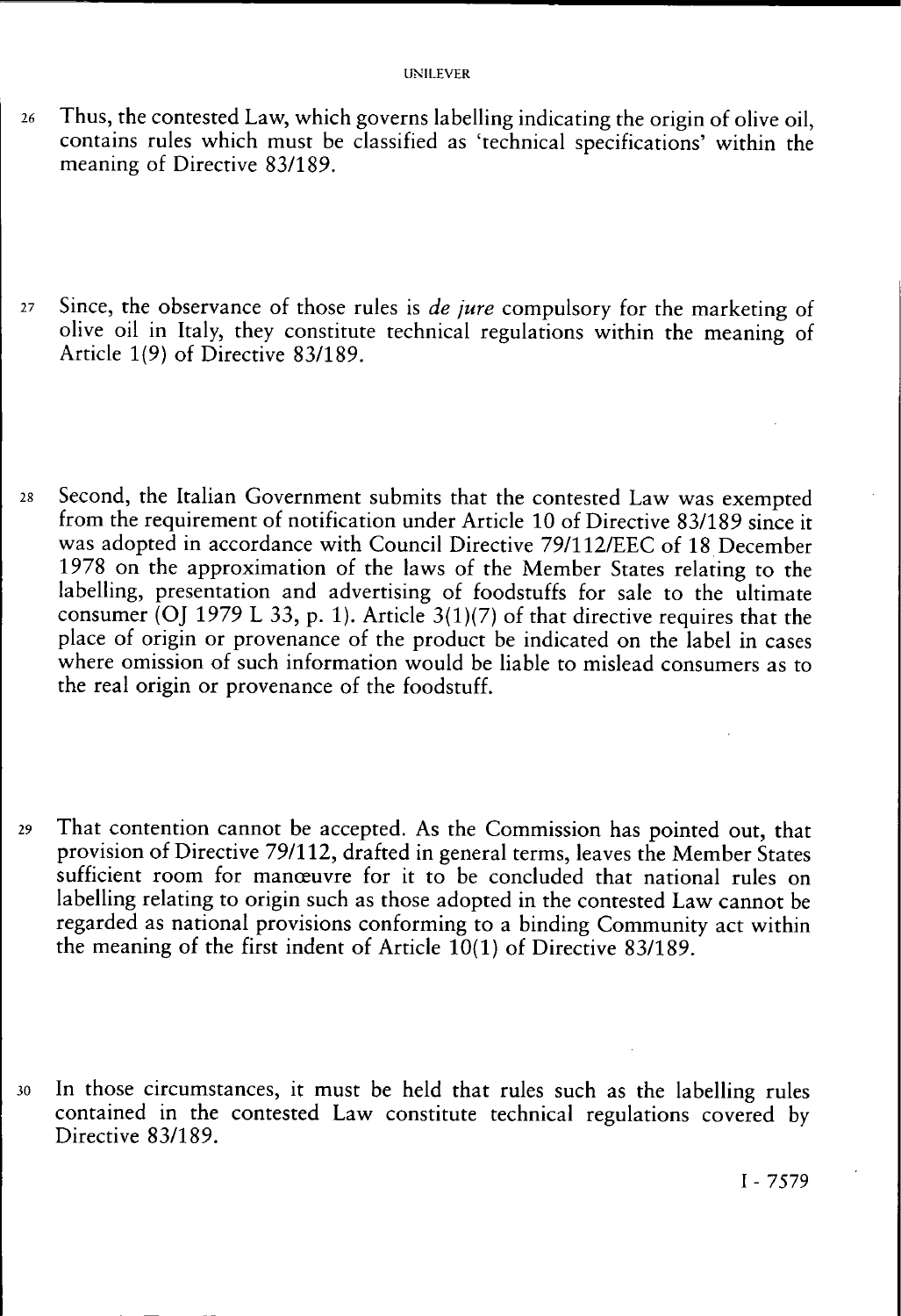- 26 Thus, the contested Law, which governs labelling indicating the origin of olive oil, contains rules which must be classified as 'technical specifications' within the meaning of Directive 83/189.
- 27 Since, the observance of those rules is *de jure* compulsory for the marketing of olive oil in Italy, they constitute technical regulations within the meaning of Article 1(9) of Directive 83/189.
- 28 Second, the Italian Government submits that the contested Law was exempted from the requirement of notification under Article 10 of Directive 83/189 since it was adopted in accordance with Council Directive 79/112/EEC of 18 December 1978 on the approximation of the laws of the Member States relating to the labelling, presentation and advertising of foodstuffs for sale to the ultimate consumer (OJ 1979 L 33, p. 1). Article 3(1)(7) of that directive requires that the place of origin or provenance of the product be indicated on the label in cases where omission of such information would be liable to mislead consumers as to the real origin or provenance of the foodstuff.
- 29 That contention cannot be accepted. As the Commission has pointed out, that provision of Directive 79/112, drafted in general terms, leaves the Member States sufficient room for manœuvre for it to be concluded that national rules on labelling relating to origin such as those adopted in the contested Law cannot be regarded as national provisions conforming to a binding Community act within the meaning of the first indent of Article  $10(1)$  of Directive 83/189.
- 30 In those circumstances, it must be held that rules such as the labelling rules contained in the contested Law constitute technical regulations covered by Directive 83/189.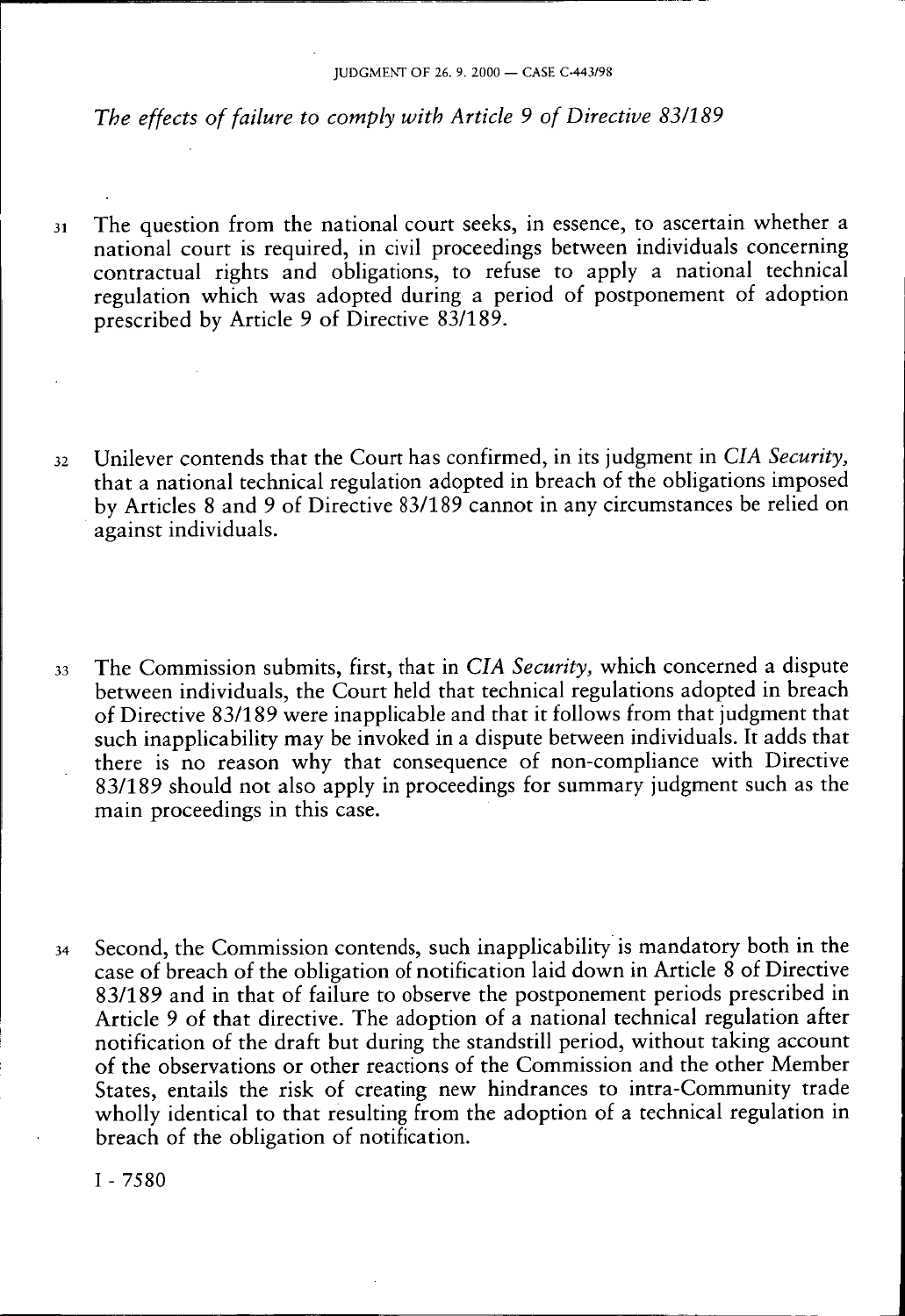## *The effects of failure to comply with Article 9 of Directive 83/189*

- 31 The question from the national court seeks, in essence, to ascertain whether a national court is required, in civil proceedings between individuals concerning contractual rights and obligations, to refuse to apply a national technical regulation which was adopted during a period of postponement of adoption prescribed by Article 9 of Directive 83/189.
- 32 Unilever contends that the Court has confirmed, in its judgment in *CIA Security,*  that a national technical regulation adopted in breach of the obligations imposed by Articles 8 and 9 of Directive 83/189 cannot in any circumstances be relied on against individuals.
- 33 The Commission submits, first, that in *CIA Security,* which concerned a dispute between individuals, the Court held that technical regulations adopted in breach of Directive 83/189 were inapplicable and that it follows from that judgment that such inapplicability may be invoked in a dispute between individuals. It adds that there is no reason why that consequence of non-compliance with Directive 83/189 should not also apply in proceedings for summary judgment such as the main proceedings in this case.
- 34 Second, the Commission contends, such inapplicability is mandatory both in the case of breach of the obligation of notification laid down in Article 8 of Directive 83/189 and in that of failure to observe the postponement periods prescribed in Article 9 of that directive. The adoption of a national technical regulation after notification of the draft but during the standstill period, without taking account of the observations or other reactions of the Commission and the other Member States, entails the risk of creating new hindrances to intra-Community trade wholly identical to that resulting from the adoption of a technical regulation in breach of the obligation of notification.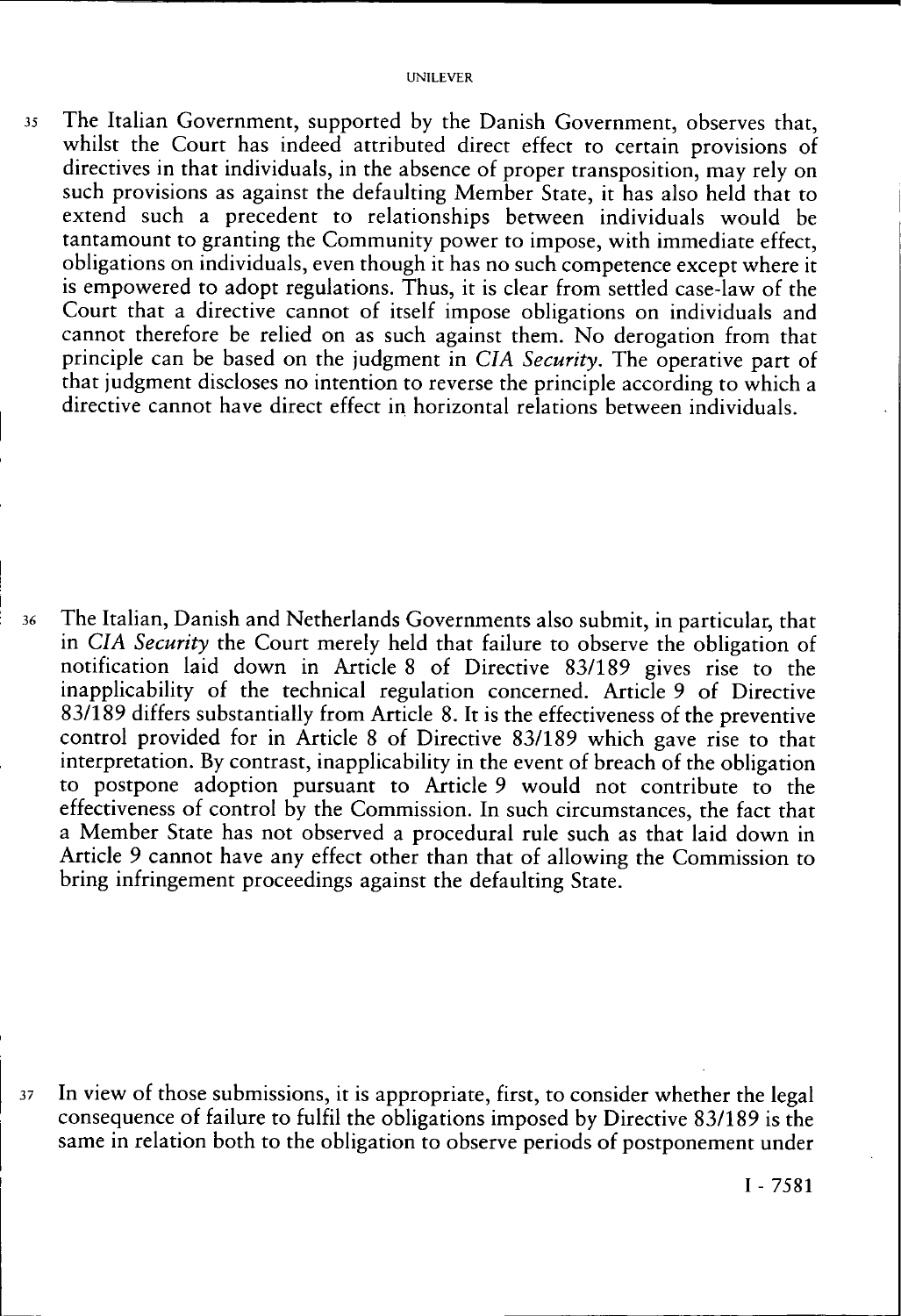35 The Italian Government, supported by the Danish Government, observes that, whilst the Court has indeed attributed direct effect to certain provisions of directives in that individuals, in the absence of proper transposition, may rely on such provisions as against the defaulting Member State, it has also held that to extend such a precedent to relationships between individuals would be tantamount to granting the Community power to impose, with immediate effect, obligations on individuals, even though it has no such competence except where it is empowered to adopt regulations. Thus, it is clear from settled case-law of the Court that a directive cannot of itself impose obligations on individuals and cannot therefore be relied on as such against them. No derogation from that principle can be based on the judgment in *CIA Security.* The operative part of that judgment discloses no intention to reverse the principle according to which a directive cannot have direct effect in horizontal relations between individuals.

36 The Italian, Danish and Netherlands Governments also submit, in particular, that in *CIA Security* the Court merely held that failure to observe the obligation of notification laid down in Article 8 of Directive 83/189 gives rise to the inapplicability of the technical regulation concerned. Article 9 of Directive 83/189 differs substantially from Article 8. It is the effectiveness of the preventive control provided for in Article 8 of Directive 83/189 which gave rise to that interpretation. By contrast, inapplicability in the event of breach of the obligation to postpone adoption pursuant to Article 9 would not contribute to the effectiveness of control by the Commission. In such circumstances, the fact that a Member State has not observed a procedural rule such as that laid down in Article 9 cannot have any effect other than that of allowing the Commission to bring infringement proceedings against the defaulting State.

37 In view of those submissions, it is appropriate, first, to consider whether the legal consequence of failure to fulfil the obligations imposed by Directive 83/189 is the same in relation both to the obligation to observe periods of postponement under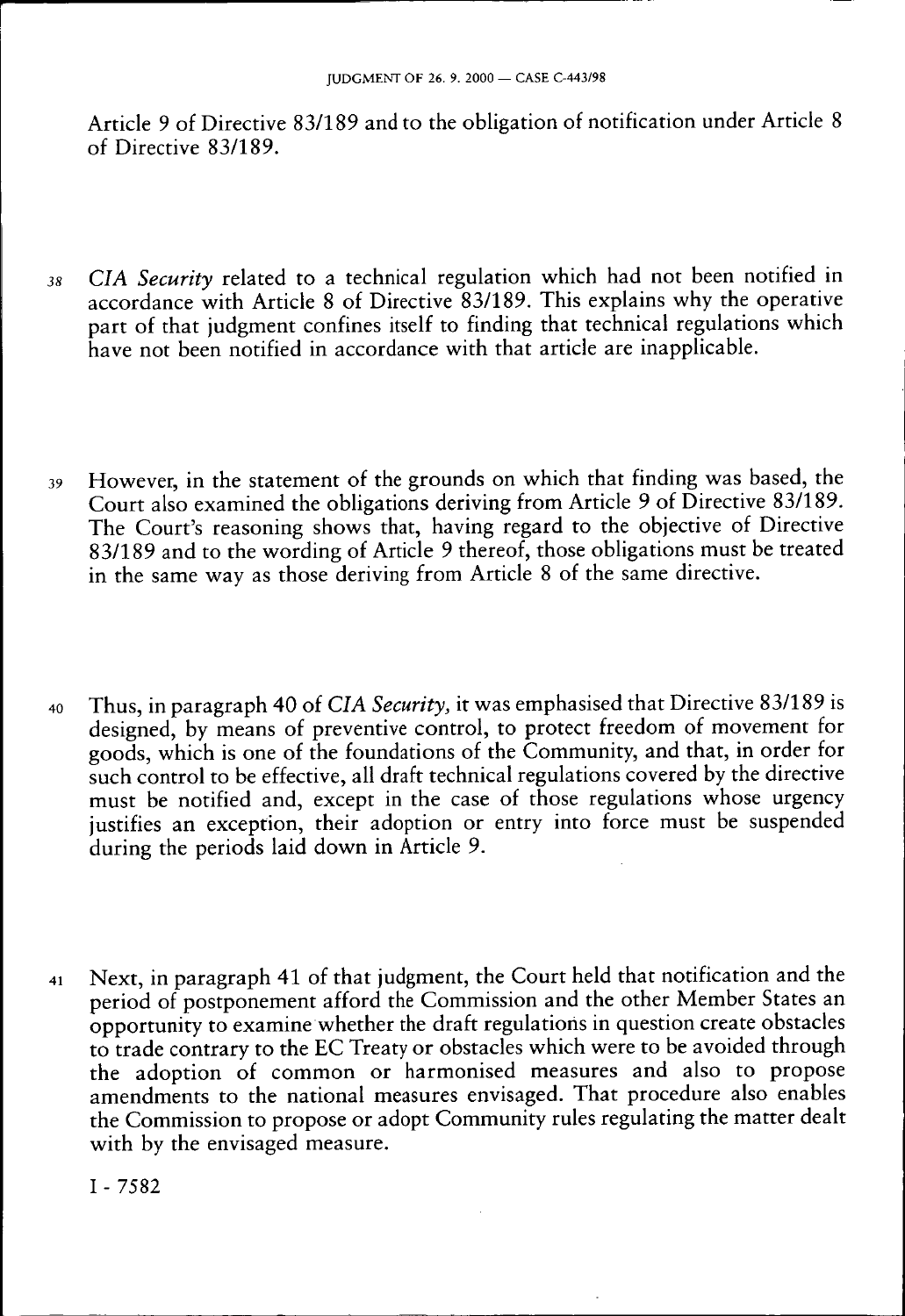Article 9 of Directive 83/189 and to the obligation of notification under Article 8 of Directive 83/189.

- *38 CIA Security* related to a technical regulation which had not been notified in accordance with Article 8 of Directive 83/189. This explains why the operative part of that judgment confines itself to finding that technical regulations which have not been notified in accordance with that article are inapplicable.
- 39 However, in the statement of the grounds on which that finding was based, the Court also examined the obligations deriving from Article 9 of Directive 83/189. The Court's reasoning shows that, having regard to the objective of Directive 83/189 and to the wording of Article 9 thereof, those obligations must be treated in the same way as those deriving from Article 8 of the same directive.
- 40 Thus, in paragraph 40 of *CIA Security,* it was emphasised that Directive 83/189 is designed, by means of preventive control, to protect freedom of movement for goods, which is one of the foundations of the Community, and that, in order for such control to be effective, all draft technical regulations covered by the directive must be notified and, except in the case of those regulations whose urgency justifies an exception, their adoption or entry into force must be suspended during the periods laid down in Article 9.
- 41 Next, in paragraph 41 of that judgment, the Court held that notification and the period of postponement afford the Commission and the other Member States an opportunity to examine whether the draft regulations in question create obstacles to trade contrary to the EC Treaty or obstacles which were to be avoided through the adoption of common or harmonised measures and also to propose amendments to the national measures envisaged. That procedure also enables the Commission to propose or adopt Community rules regulating the matter dealt with by the envisaged measure.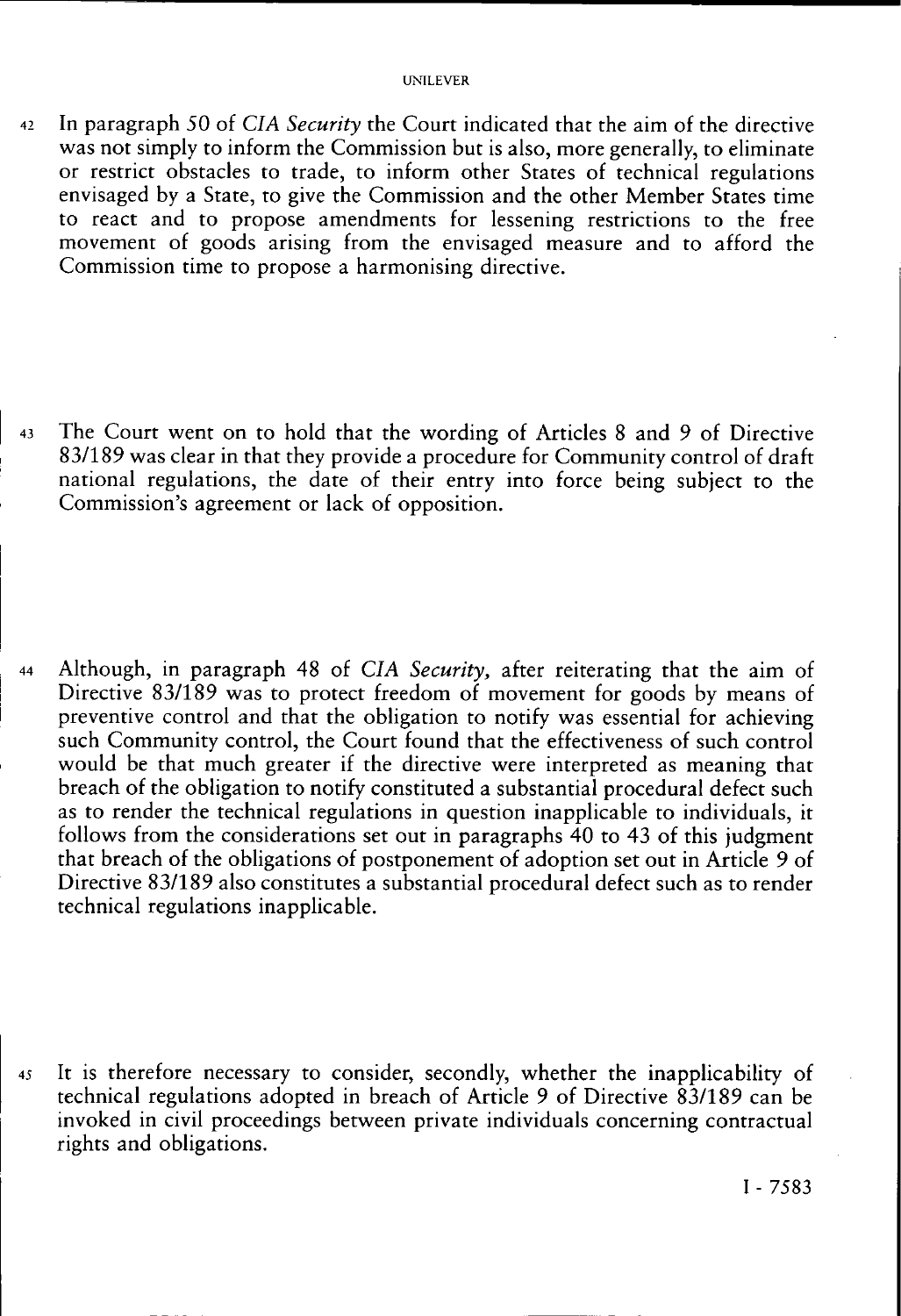42 In paragraph 50 of *CIA Security* the Court indicated that the aim of the directive was not simply to inform the Commission but is also, more generally, to eliminate or restrict obstacles to trade, to inform other States of technical regulations envisaged by a State, to give the Commission and the other Member States time to react and to propose amendments for lessening restrictions to the free movement of goods arising from the envisaged measure and to afford the Commission time to propose a harmonising directive.

43 The Court went on to hold that the wording of Articles 8 and 9 of Directive 83/189 was clear in that they provide a procedure for Community control of draft national regulations, the date of their entry into force being subject to the Commission's agreement or lack of opposition.

44 Although, in paragraph 48 of *CIA Security,* after reiterating that the aim of Directive 83/189 was to protect freedom of movement for goods by means of preventive control and that the obligation to notify was essential for achieving such Community control, the Court found that the effectiveness of such control would be that much greater if the directive were interpreted as meaning that breach of the obligation to notify constituted a substantial procedural defect such as to render the technical regulations in question inapplicable to individuals, it follows from the considerations set out in paragraphs 40 to 43 of this judgment that breach of the obligations of postponement of adoption set out in Article 9 of Directive 83/189 also constitutes a substantial procedural defect such as to render technical regulations inapplicable.

45 It is therefore necessary to consider, secondly, whether the inapplicability of technical regulations adopted in breach of Article 9 of Directive 83/189 can be invoked in civil proceedings between private individuals concerning contractual rights and obligations.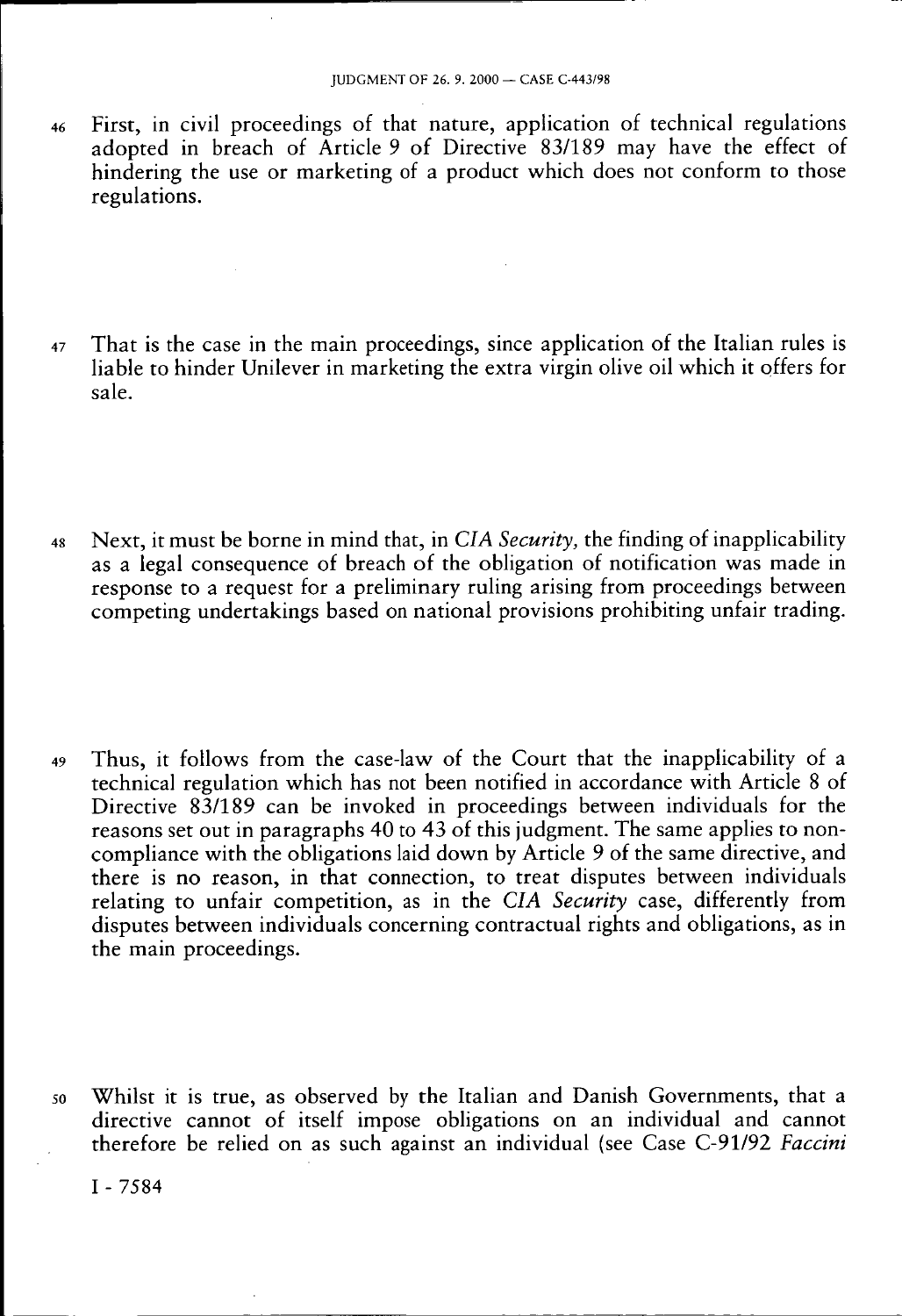- 46 First, in civil proceedings of that nature, application of technical regulations adopted in breach of Article 9 of Directive 83/189 may have the effect of hindering the use or marketing of a product which does not conform to those regulations.
- 47 That is the case in the main proceedings, since application of the Italian rules is liable to hinder Unilever in marketing the extra virgin olive oil which it offers for sale.
- 48 Next, it must be borne in mind that, in *CIA Security,* the finding of inapplicability as a legal consequence of breach of the obligation of notification was made in response to a request for a preliminary ruling arising from proceedings between competing undertakings based on national provisions prohibiting unfair trading.
- 49 Thus, it follows from the case-law of the Court that the inapplicability of a technical regulation which has not been notified in accordance with Article 8 of Directive 83/189 can be invoked in proceedings between individuals for the reasons set out in paragraphs 40 to 43 of this judgment. The same applies to noncompliance with the obligations laid down by Article 9 of the same directive, and there is no reason, in that connection, to treat disputes between individuals relating to unfair competition, as in the *CIA Security* case, differently from disputes between individuals concerning contractual rights and obligations, as in the main proceedings.
- 50 Whilst it is true, as observed by the Italian and Danish Governments, that a directive cannot of itself impose obligations on an individual and cannot therefore be relied on as such against an individual (see Case C-91/92 *Faccini*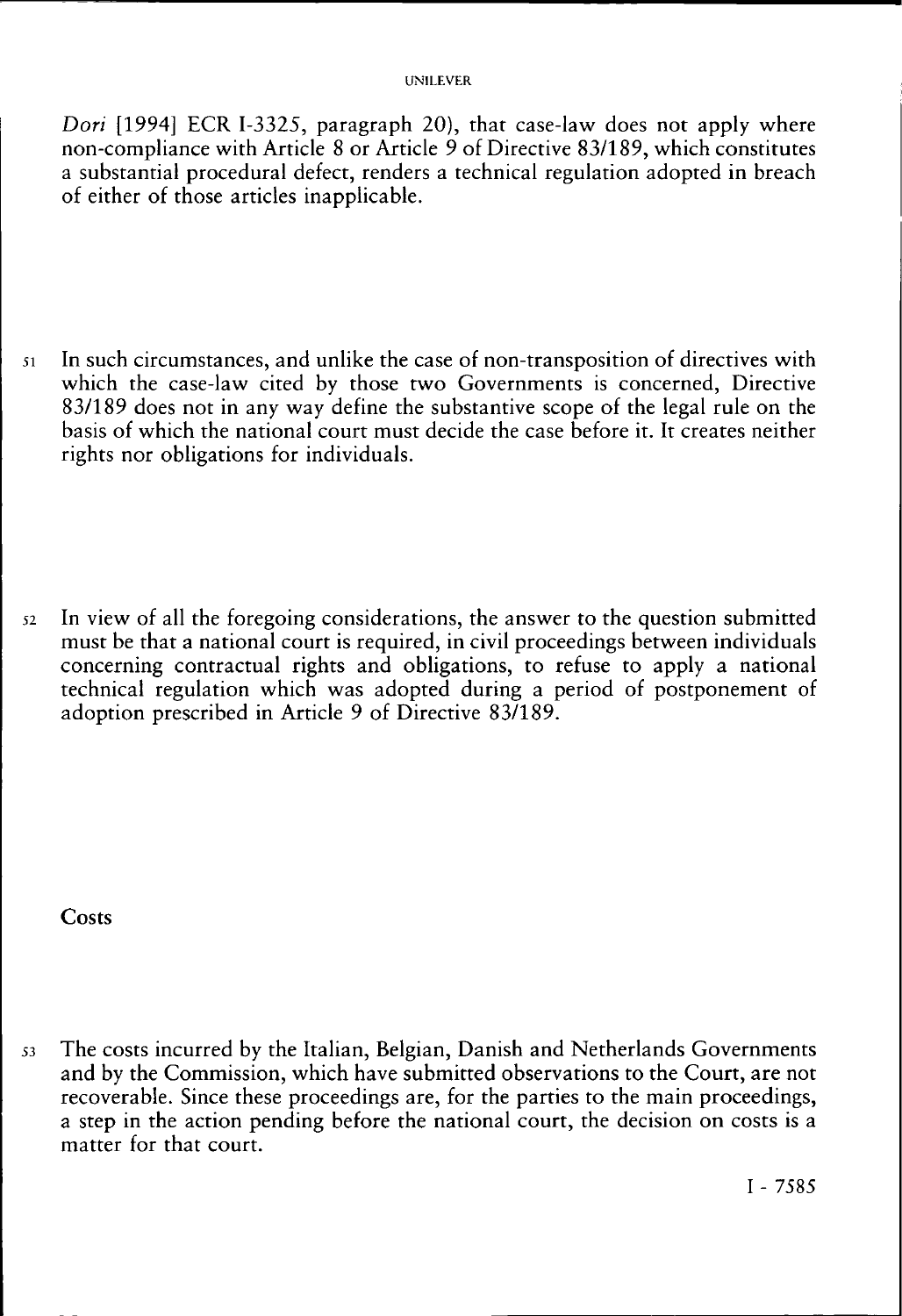*Dori* [1994] ECR I-3325, paragraph 20), that case-law does not apply where non-compliance with Article 8 or Article 9 of Directive 83/189, which constitutes a substantial procedural defect, renders a technical regulation adopted in breach of either of those articles inapplicable.

51 In such circumstances, and unlike the case of non-transposition of directives with which the case-law cited by those two Governments is concerned, Directive 83/189 does not in any way define the substantive scope of the legal rule on the basis of which the national court must decide the case before it. It creates neither rights nor obligations for individuals.

52 In view of all the foregoing considerations, the answer to the question submitted must be that a national court is required, in civil proceedings between individuals concerning contractual rights and obligations, to refuse to apply a national technical regulation which was adopted during a period of postponement of adoption prescribed in Article 9 of Directive 83/189.

**Costs** 

53 The costs incurred by the Italian, Belgian, Danish and Netherlands Governments and by the Commission, which have submitted observations to the Court, are not recoverable. Since these proceedings are, for the parties to the main proceedings, a step in the action pending before the national court, the decision on costs is a matter for that court.